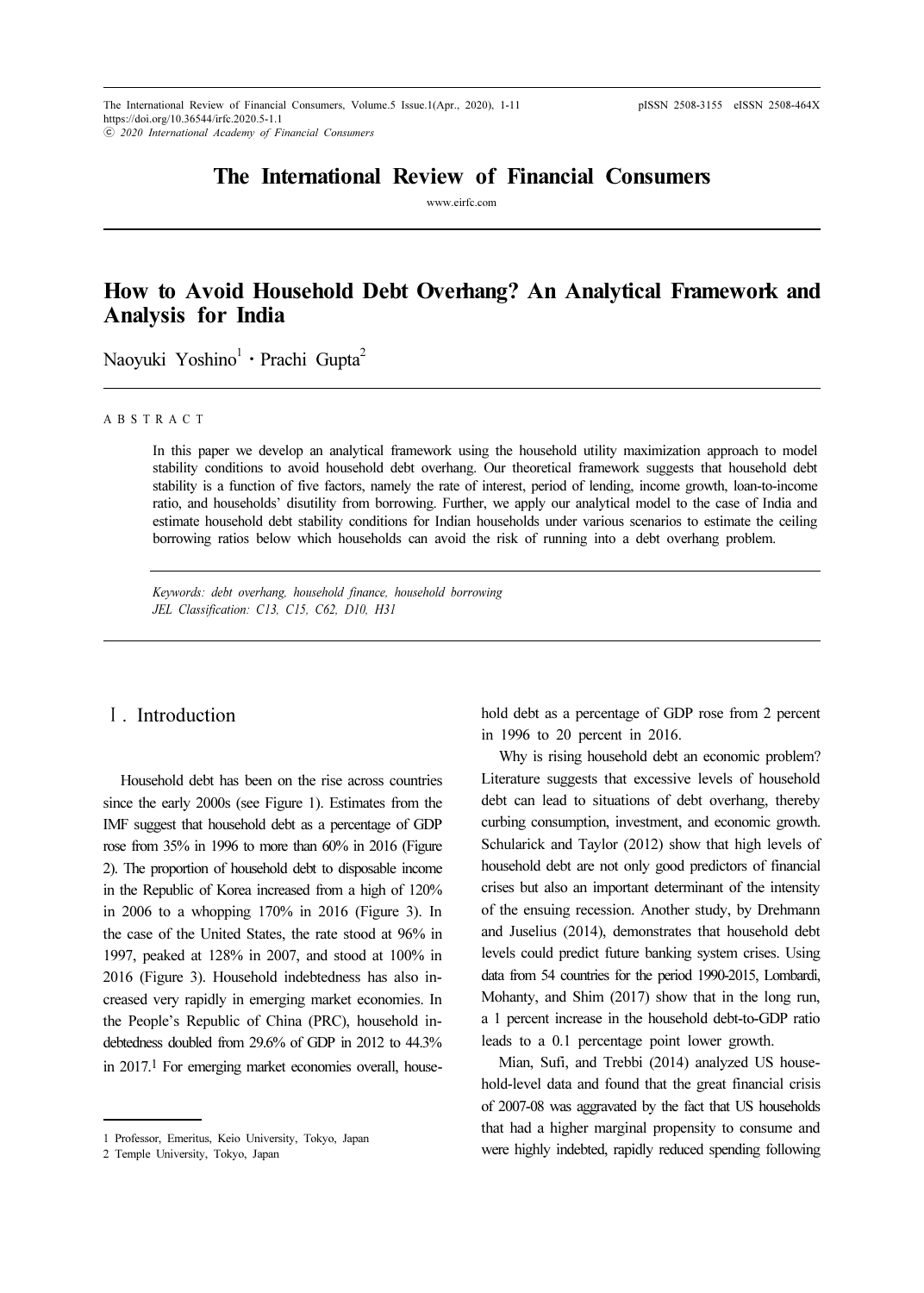# The International Review of Financial Consumers

www.eirfc.com

# How to Avoid Household Debt Overhang? An Analytical Framework and Analysis for India ⋅

Naoyuki Yoshino<sup>1</sup> · Prachi Gupta<sup>2</sup>

#### A B S T R A C T

In this paper we develop an analytical framework using the household utility maximization approach to model stability conditions to avoid household debt overhang. Our theoretical framework suggests that household debt stability is a function of five factors, namely the rate of interest, period of lending, income growth, loan-to-income ratio, and households' disutility from borrowing. Further, we apply our analytical model to the case of India and estimate household debt stability conditions for Indian households under various scenarios to estimate the ceiling borrowing ratios below which households can avoid the risk of running into a debt overhang problem.

Keywords: debt overhang, household finance, household borrowing JEL Classification: C13, C15, C62, D10, H31

#### Ⅰ. Introduction

Household debt has been on the rise across countries since the early 2000s (see Figure 1). Estimates from the IMF suggest that household debt as a percentage of GDP rose from 35% in 1996 to more than 60% in 2016 (Figure 2). The proportion of household debt to disposable income in the Republic of Korea increased from a high of 120% in 2006 to a whopping 170% in 2016 (Figure 3). In the case of the United States, the rate stood at 96% in 1997, peaked at 128% in 2007, and stood at 100% in 2016 (Figure 3). Household indebtedness has also increased very rapidly in emerging market economies. In the People's Republic of China (PRC), household indebtedness doubled from 29.6% of GDP in 2012 to 44.3% in 2017.1 For emerging market economies overall, household debt as a percentage of GDP rose from 2 percent in 1996 to 20 percent in 2016.

Why is rising household debt an economic problem? Literature suggests that excessive levels of household debt can lead to situations of debt overhang, thereby curbing consumption, investment, and economic growth. Schularick and Taylor (2012) show that high levels of household debt are not only good predictors of financial crises but also an important determinant of the intensity of the ensuing recession. Another study, by Drehmann and Juselius (2014), demonstrates that household debt levels could predict future banking system crises. Using data from 54 countries for the period 1990-2015, Lombardi, Mohanty, and Shim (2017) show that in the long run, a 1 percent increase in the household debt-to-GDP ratio leads to a 0.1 percentage point lower growth.

Mian, Sufi, and Trebbi (2014) analyzed US household-level data and found that the great financial crisis of 2007-08 was aggravated by the fact that US households that had a higher marginal propensity to consume and were highly indebted, rapidly reduced spending following

<sup>1</sup> Professor, Emeritus, Keio University, Tokyo, Japan

<sup>2</sup> Temple University, Tokyo, Japan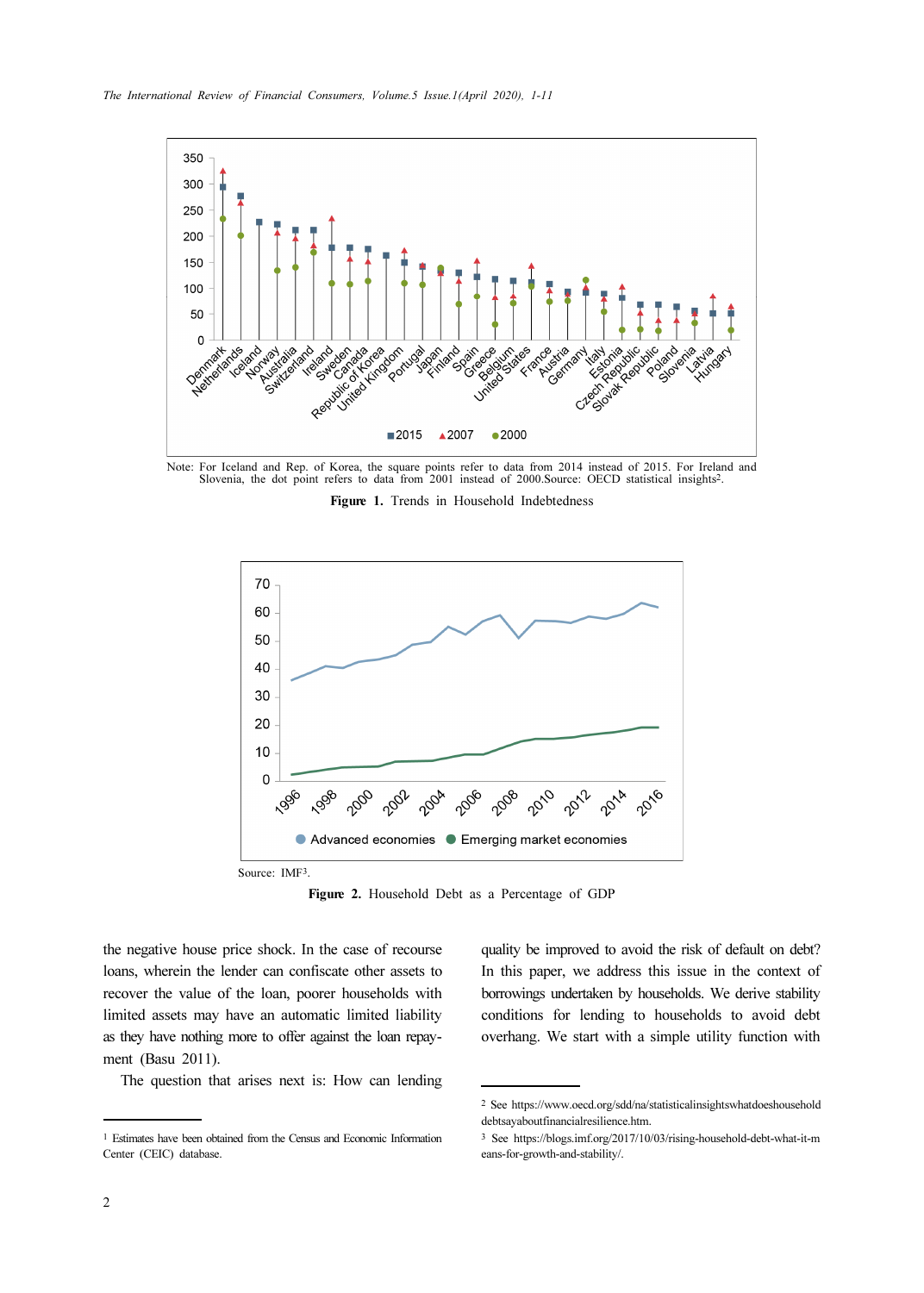

Note: For Iceland and Rep. of Korea, the square points refer to data from 2014 instead of 2015. For Ireland and Slovenia, the dot point refers to data from 2001 instead of 2000.Source: OECD statistical insights2.

Figure 1. Trends in Household Indebtedness



Figure 2. Household Debt as a Percentage of GDP

the negative house price shock. In the case of recourse loans, wherein the lender can confiscate other assets to recover the value of the loan, poorer households with limited assets may have an automatic limited liability as they have nothing more to offer against the loan repayment (Basu 2011).

The question that arises next is: How can lending

quality be improved to avoid the risk of default on debt? In this paper, we address this issue in the context of borrowings undertaken by households. We derive stability conditions for lending to households to avoid debt overhang. We start with a simple utility function with

<sup>1</sup> Estimates have been obtained from the Census and Economic Information Center (CEIC) database.

<sup>2</sup> See https://www.oecd.org/sdd/na/statisticalinsightswhatdoeshousehold debtsayaboutfinancialresilience.htm.

<sup>3</sup> See https://blogs.imf.org/2017/10/03/rising-household-debt-what-it-m eans-for-growth-and-stability/.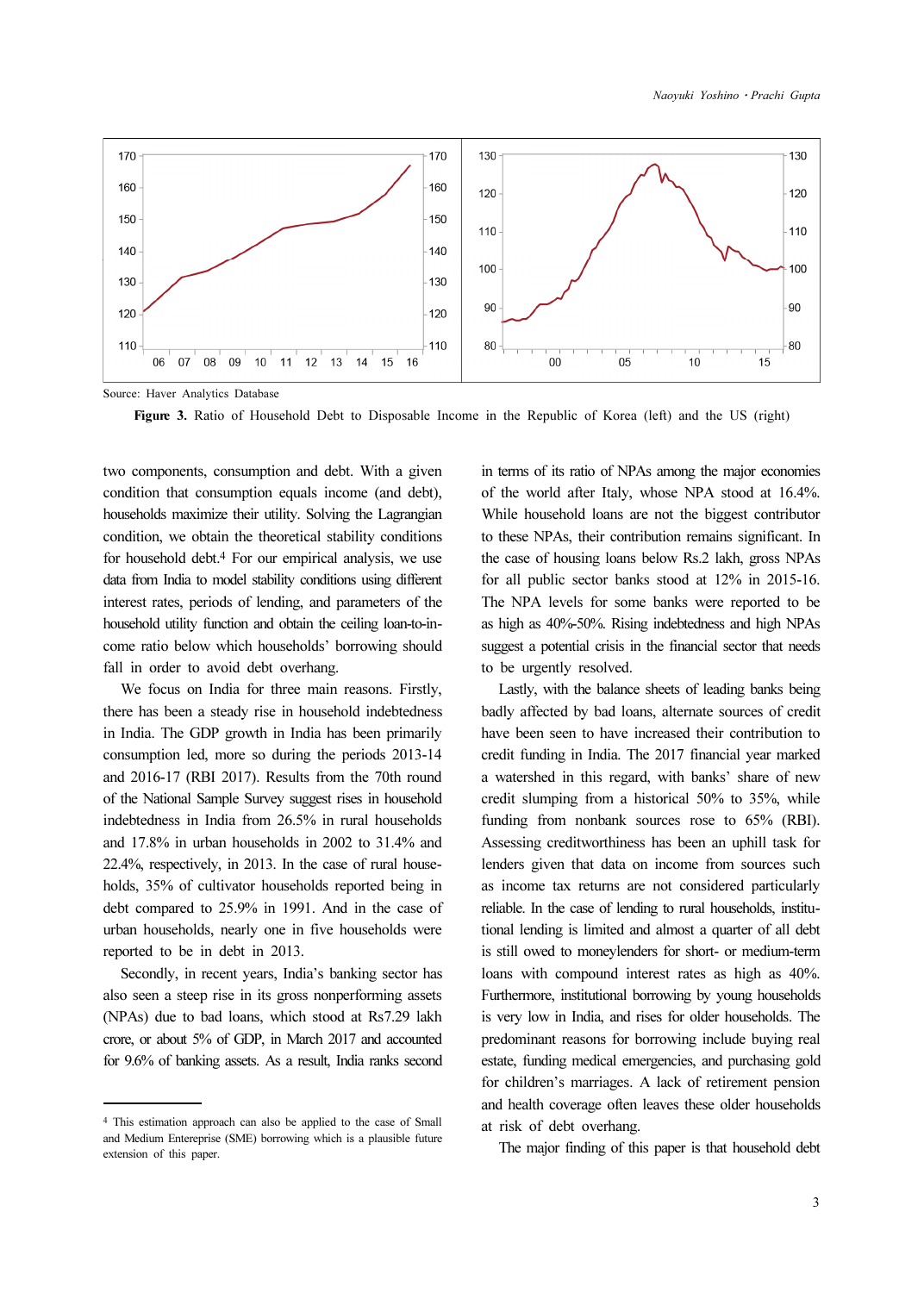

Source: Haver Analytics Database

Figure 3. Ratio of Household Debt to Disposable Income in the Republic of Korea (left) and the US (right)

two components, consumption and debt. With a given condition that consumption equals income (and debt), households maximize their utility. Solving the Lagrangian condition, we obtain the theoretical stability conditions for household debt.4 For our empirical analysis, we use data from India to model stability conditions using different interest rates, periods of lending, and parameters of the household utility function and obtain the ceiling loan-to-income ratio below which households' borrowing should fall in order to avoid debt overhang.

We focus on India for three main reasons. Firstly, there has been a steady rise in household indebtedness in India. The GDP growth in India has been primarily consumption led, more so during the periods 2013-14 and 2016-17 (RBI 2017). Results from the 70th round of the National Sample Survey suggest rises in household indebtedness in India from 26.5% in rural households and 17.8% in urban households in 2002 to 31.4% and 22.4%, respectively, in 2013. In the case of rural households, 35% of cultivator households reported being in debt compared to 25.9% in 1991. And in the case of urban households, nearly one in five households were reported to be in debt in 2013.

Secondly, in recent years, India's banking sector has also seen a steep rise in its gross nonperforming assets (NPAs) due to bad loans, which stood at Rs7.29 lakh crore, or about 5% of GDP, in March 2017 and accounted for 9.6% of banking assets. As a result, India ranks second in terms of its ratio of NPAs among the major economies of the world after Italy, whose NPA stood at 16.4%. While household loans are not the biggest contributor to these NPAs, their contribution remains significant. In the case of housing loans below Rs.2 lakh, gross NPAs for all public sector banks stood at 12% in 2015-16. The NPA levels for some banks were reported to be as high as 40%-50%. Rising indebtedness and high NPAs suggest a potential crisis in the financial sector that needs to be urgently resolved.

Lastly, with the balance sheets of leading banks being badly affected by bad loans, alternate sources of credit have been seen to have increased their contribution to credit funding in India. The 2017 financial year marked a watershed in this regard, with banks' share of new credit slumping from a historical 50% to 35%, while funding from nonbank sources rose to 65% (RBI). Assessing creditworthiness has been an uphill task for lenders given that data on income from sources such as income tax returns are not considered particularly reliable. In the case of lending to rural households, institutional lending is limited and almost a quarter of all debt is still owed to moneylenders for short- or medium-term loans with compound interest rates as high as 40%. Furthermore, institutional borrowing by young households is very low in India, and rises for older households. The predominant reasons for borrowing include buying real estate, funding medical emergencies, and purchasing gold for children's marriages. A lack of retirement pension and health coverage often leaves these older households at risk of debt overhang.

The major finding of this paper is that household debt

<sup>4</sup> This estimation approach can also be applied to the case of Small and Medium Entereprise (SME) borrowing which is a plausible future extension of this paper.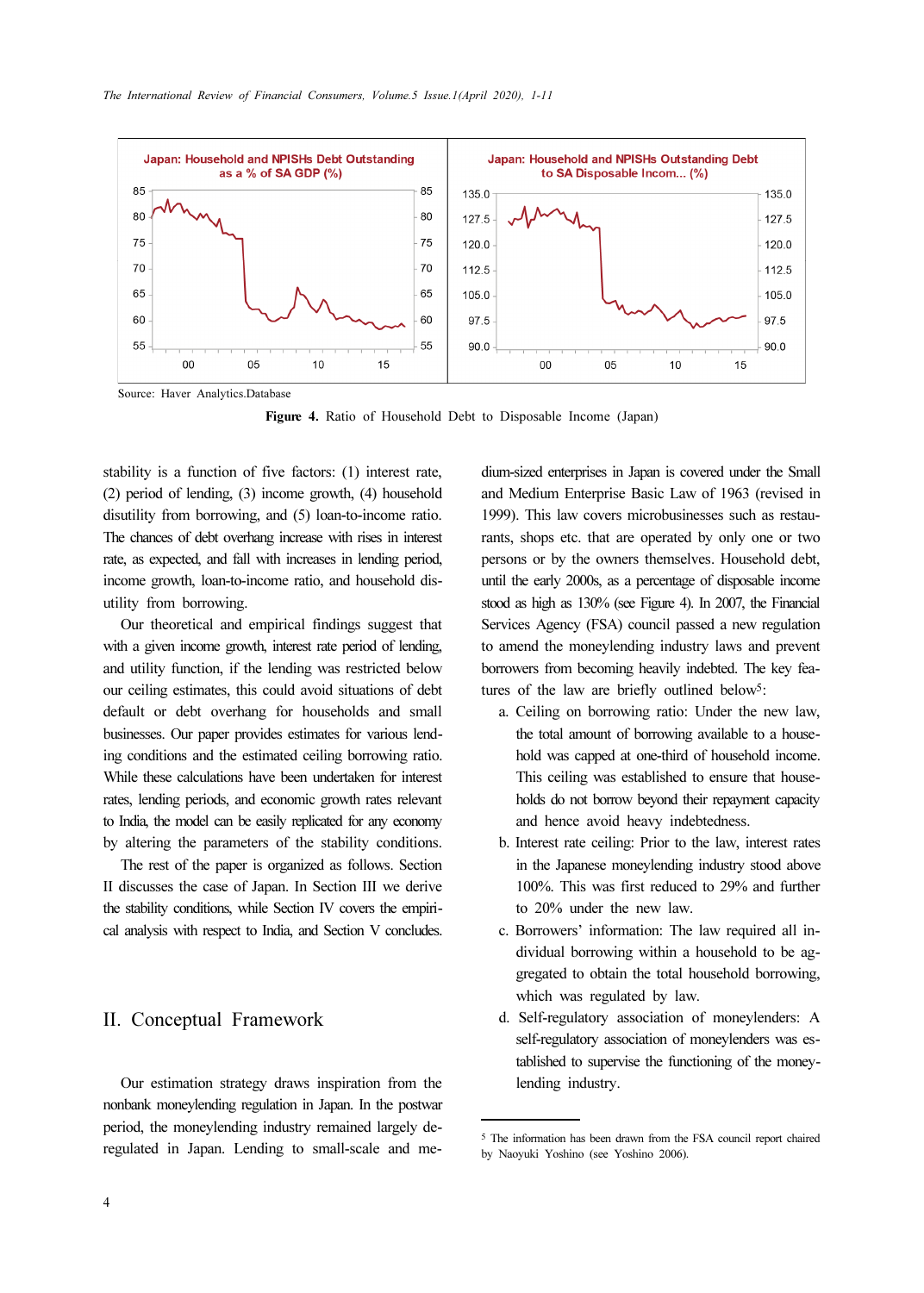

Source: Haver Analytics.Database

Figure 4. Ratio of Household Debt to Disposable Income (Japan)

stability is a function of five factors: (1) interest rate, (2) period of lending, (3) income growth, (4) household disutility from borrowing, and (5) loan-to-income ratio. The chances of debt overhang increase with rises in interest rate, as expected, and fall with increases in lending period, income growth, loan-to-income ratio, and household disutility from borrowing.

Our theoretical and empirical findings suggest that with a given income growth, interest rate period of lending. and utility function, if the lending was restricted below our ceiling estimates, this could avoid situations of debt default or debt overhang for households and small businesses. Our paper provides estimates for various lending conditions and the estimated ceiling borrowing ratio. While these calculations have been undertaken for interest rates, lending periods, and economic growth rates relevant to India, the model can be easily replicated for any economy by altering the parameters of the stability conditions.

The rest of the paper is organized as follows. Section II discusses the case of Japan. In Section III we derive the stability conditions, while Section IV covers the empirical analysis with respect to India, and Section V concludes.

## II. Conceptual Framework

Our estimation strategy draws inspiration from the nonbank moneylending regulation in Japan. In the postwar period, the moneylending industry remained largely deregulated in Japan. Lending to small-scale and medium-sized enterprises in Japan is covered under the Small and Medium Enterprise Basic Law of 1963 (revised in 1999). This law covers microbusinesses such as restaurants, shops etc. that are operated by only one or two persons or by the owners themselves. Household debt, until the early 2000s, as a percentage of disposable income stood as high as 130% (see Figure 4). In 2007, the Financial Services Agency (FSA) council passed a new regulation to amend the moneylending industry laws and prevent borrowers from becoming heavily indebted. The key features of the law are briefly outlined below<sup>5</sup>:

- a. Ceiling on borrowing ratio: Under the new law, the total amount of borrowing available to a household was capped at one-third of household income. This ceiling was established to ensure that households do not borrow beyond their repayment capacity and hence avoid heavy indebtedness.
- b. Interest rate ceiling: Prior to the law, interest rates in the Japanese moneylending industry stood above 100%. This was first reduced to 29% and further to 20% under the new law.
- c. Borrowers' information: The law required all individual borrowing within a household to be aggregated to obtain the total household borrowing, which was regulated by law.
- d. Self-regulatory association of moneylenders: A self-regulatory association of moneylenders was established to supervise the functioning of the moneylending industry.

<sup>5</sup> The information has been drawn from the FSA council report chaired by Naoyuki Yoshino (see Yoshino 2006).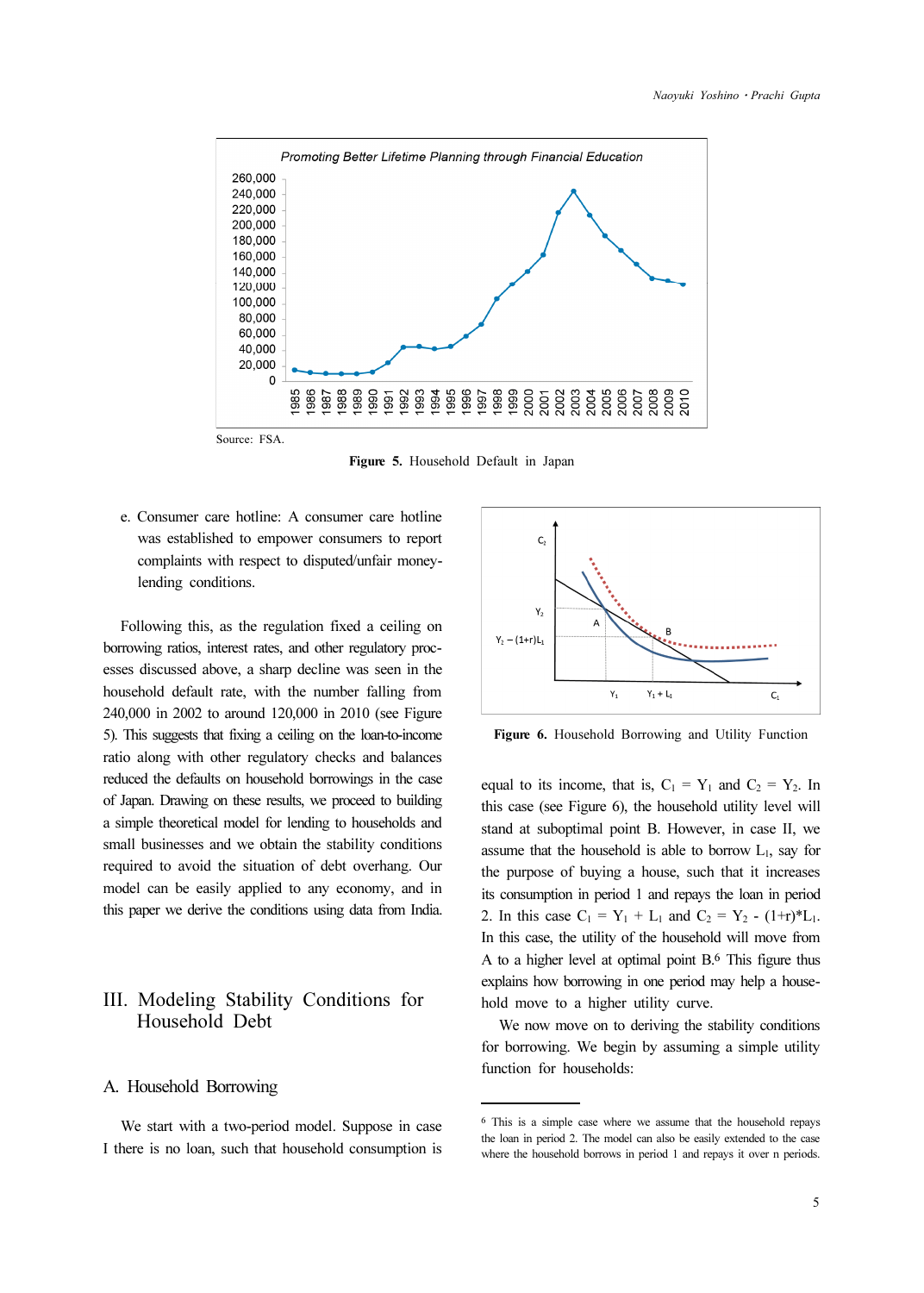

Figure 5. Household Default in Japan

e. Consumer care hotline: A consumer care hotline was established to empower consumers to report complaints with respect to disputed/unfair moneylending conditions.

Following this, as the regulation fixed a ceiling on borrowing ratios, interest rates, and other regulatory processes discussed above, a sharp decline was seen in the household default rate, with the number falling from 240,000 in 2002 to around 120,000 in 2010 (see Figure 5). This suggests that fixing a ceiling on the loan-to-income ratio along with other regulatory checks and balances reduced the defaults on household borrowings in the case of Japan. Drawing on these results, we proceed to building a simple theoretical model for lending to households and small businesses and we obtain the stability conditions required to avoid the situation of debt overhang. Our model can be easily applied to any economy, and in this paper we derive the conditions using data from India.

# III. Modeling Stability Conditions for Household Debt

#### A. Household Borrowing

We start with a two-period model. Suppose in case I there is no loan, such that household consumption is



Figure 6. Household Borrowing and Utility Function

equal to its income, that is,  $C_1 = Y_1$  and  $C_2 = Y_2$ . In this case (see Figure 6), the household utility level will stand at suboptimal point B. However, in case II, we assume that the household is able to borrow  $L_1$ , say for the purpose of buying a house, such that it increases its consumption in period 1 and repays the loan in period 2. In this case  $C_1 = Y_1 + L_1$  and  $C_2 = Y_2 - (1+r)^*L_1$ . In this case, the utility of the household will move from A to a higher level at optimal point B.6 This figure thus explains how borrowing in one period may help a household move to a higher utility curve.

We now move on to deriving the stability conditions for borrowing. We begin by assuming a simple utility function for households:

<sup>6</sup> This is a simple case where we assume that the household repays the loan in period 2. The model can also be easily extended to the case where the household borrows in period 1 and repays it over n periods.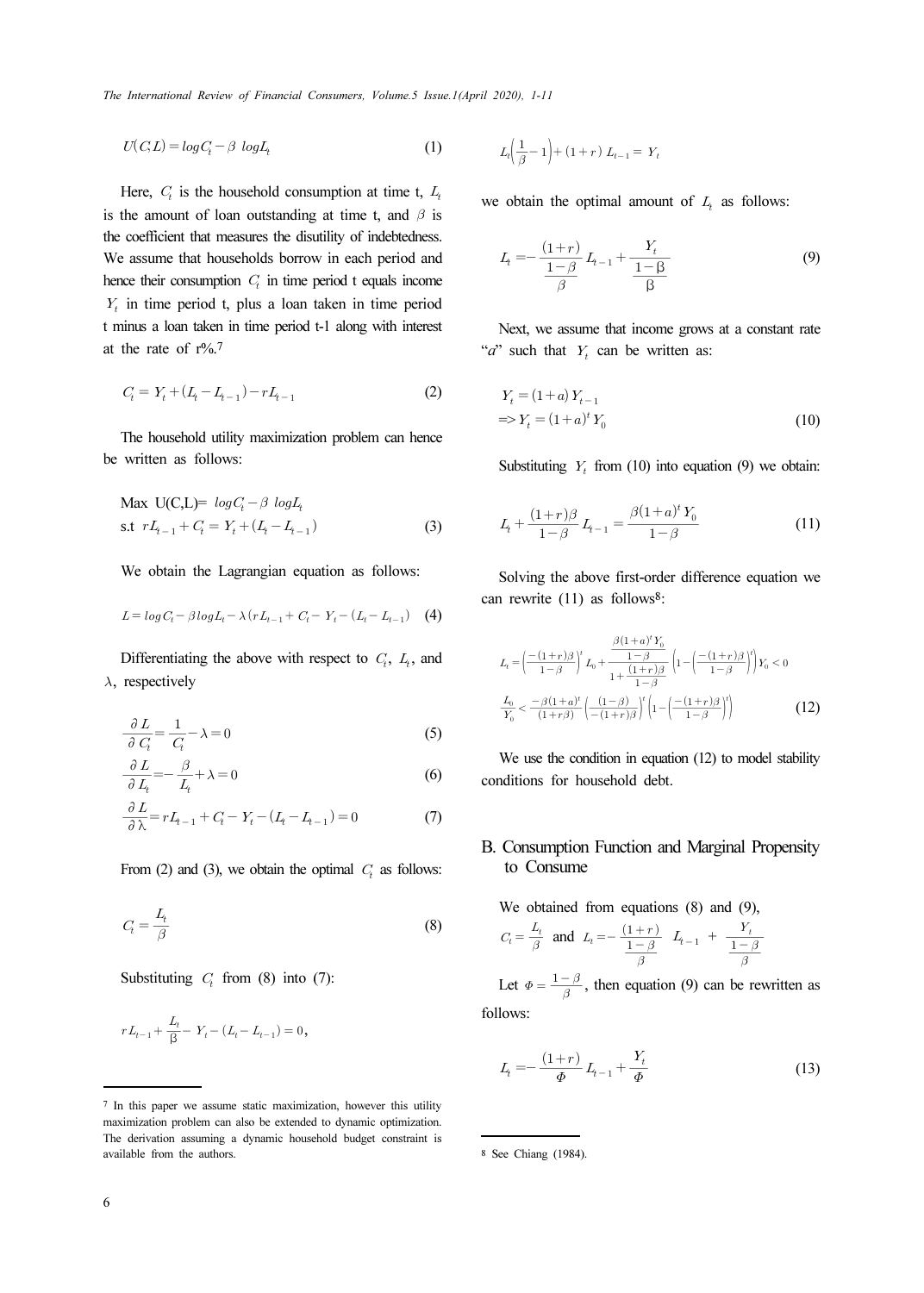The International Review of Financial Consumers, Volume.5 Issue.1(April 2020), 1-11

$$
U(C,L) = \log C_t - \beta \log L_t \tag{1}
$$

Here,  $C_t$  is the household consumption at time t,  $L_t$ is the amount of loan outstanding at time t, and  $\beta$  is the coefficient that measures the disutility of indebtedness. We assume that households borrow in each period and hence their consumption  $C<sub>t</sub>$  in time period t equals income  $Y<sub>t</sub>$  in time period t, plus a loan taken in time period t minus a loan taken in time period t-1 along with interest at the rate of r%.<sup>7</sup> Here,  $C_t$  is<br>ne amount coefficient<br>assume the their contract assume the their contract assume the neural and be rate of<br>numeral and the house of  $C_t = Y_t + ($ <br>he house written as<br> $Aax U(C_t)$ , it  $rL_{t-1} +$ <br>Ve obtain<br> $L = log C_t -$ <br>Di designed their constant the period of their constant in time per<br>nus a loan<br>he rate of<br> $C_t = Y_t + (I_t + I_t + I_t)$ <br>we obtain<br> $I_t = log C_t - \beta$ <br>Differentiatively<br> $\frac{\partial L}{\partial C_t} = \frac{1}{C_t} - \frac{\beta}{C_t}$ 

$$
C_t = Y_t + (L_t - L_{t-1}) - rL_{t-1}
$$
\n<sup>(2)</sup>

The household utility maximization problem can hence be written as follows:

The household utility maximization problem can hence  
written as follows:  
\nMax U(C,L)= 
$$
log C_t - \beta log L_t
$$
  
\ns.t  $rL_{t-1} + C_t = Y_t + (L_t - L_{t-1})$  (3)  
\nWe obtain the Lagrangian equation as follows:  
\n $L = log C_t - \beta log L_t - \lambda (rL_{t-1} + C_t - Y_t - (L_t - L_{t-1})$  (4)  
\nDifferentiating the above with respect to  $C_t$ ,  $L_t$ , and  
\nrespectively  
\n
$$
\frac{\partial L}{\partial C_t} = \frac{1}{C_t} - \lambda = 0
$$
 (5)  
\n
$$
\frac{\partial L}{\partial L_t} = -\frac{\beta}{L_t} + \lambda = 0
$$
 (6)  
\n
$$
\frac{\partial L}{\partial \lambda} = rL_{t-1} + C_t - Y_t - (L_t - L_{t-1}) = 0
$$
 (7)  
\nFrom (2) and (3), we obtain the optimal  $C_t$  as follows:  
\n
$$
C_t = \frac{L_t}{\beta}
$$
 (8)

We obtain the Lagrangian equation as follows:

$$
L = \log C_t - \beta \log L_t - \lambda (r L_{t-1} + C_t - Y_t - (L_t - L_{t-1}) \quad (4)
$$

Differentiating the above with respect to  $C_t$ ,  $L_t$ , and  $\lambda$ , respectively Differentia<br>
respective<br>  $\frac{\partial L}{\partial C_i} = \frac{1}{C}$ <br>  $\frac{\partial L}{\partial L_i} = -\frac{1}{C}$ <br>  $\frac{\partial L}{\partial \lambda} = rL_i$ <br>
From (2) a<br>  $C_i = \frac{L_i}{\beta}$ <br>
Substitutin<br>  $rL_{t-1} + \frac{L_t}{\beta}$ 

$$
\frac{\partial L}{\partial C_t} = \frac{1}{C_t} - \lambda = 0
$$
\n(5)

$$
\frac{\partial L}{\partial L_t} = -\frac{\beta}{L_t} + \lambda = 0 \tag{6}
$$

$$
\frac{\partial L}{\partial \lambda} = rL_{t-1} + C_t - Y_t - (L_t - L_{t-1}) = 0 \tag{7}
$$

From (2) and (3), we obtain the optimal  $C_t$  as follows:

$$
C_t = \frac{L_t}{\beta} \tag{8}
$$

Substituting  $C_t$  from (8) into (7):

$$
rL_{t-1}+\frac{L_{t}}{\beta}-\ Y_{t}-(L_{t}-L_{t-1})=0\,,
$$

2020), 1-11  

$$
L_t\left(\frac{1}{\beta} - 1\right) + (1+r)L_{t-1} = Y_t
$$

we obtain the optimal amount of  $L_i$  as follows:

020), 1-11  
\n
$$
L_{t}\left(\frac{1}{\beta}-1\right)+(1+r) L_{t-1} = Y_{t}
$$
\nobtain the optimal amount of  $L_{t}$  as follows:  
\n
$$
L_{t} = -\frac{(1+r)}{\frac{1-\beta}{\beta}}L_{t-1} + \frac{Y_{t}}{\frac{1-\beta}{\beta}}
$$
\n(9)  
\nNext, we assume that income grows at a constant rate  
\n' such that  $Y_{t}$  can be written as:  
\n
$$
Y_{t} = (1+a)Y_{t-1}
$$
\n
$$
\Rightarrow Y_{t} = (1+a)^{t}Y_{0}
$$
\n(10)  
\nSubstituting  $Y_{t}$  from (10) into equation (9) we obtain:  
\n
$$
L_{t} + \frac{(1+r)\beta}{1-\beta}L_{t-1} = \frac{\beta(1+a)^{t}Y_{0}}{1-\beta}
$$
\n(11)  
\nSolving the above first-order difference equation we  
\n
$$
L_{t} = \left(\frac{-(1+r)\beta}{1-\beta}\right)^{t}L_{0} + \frac{\frac{\beta(1+a)^{t}Y_{0}}{1-\beta}}{1+\frac{(1+r)\beta}{1-\beta}}\left(1-\left(\frac{-(1+r)\beta}{1-\beta}\right)^{t}\right)Y_{0} < 0
$$

Next, we assume that income grows at a constant rate "*a*" such that  $Y_t$  can be written as:

$$
Yt = (1+a) Yt-1
$$
  

$$
\Rightarrow Yt = (1+a)t Y0
$$
 (10)

Substituting  $Y_t$  from (10) into equation (9) we obtain:

$$
L_{t} + \frac{(1+r)\beta}{1-\beta} L_{t-1} = \frac{\beta(1+a)^{t} Y_{0}}{1-\beta}
$$
 (11)

Solving the above first-order difference equation we can rewrite (11) as follows<sup>8</sup>:

020), 
$$
I-II
$$
  
\n
$$
L_{i}\left(\frac{1}{\beta}-1\right)+(1+r)L_{i-1}=Y_{i}
$$
\nobtain the optimal amount of  $L_{i}$  as follows:  
\n
$$
L_{i} = -\frac{(1+r)}{\frac{1-\beta}{\beta}}L_{i-1} + \frac{Y_{i}}{\frac{1-\beta}{\beta}}
$$
\n(9)  
\nNext, we assume that income grows at a constant rate  
\n' such that  $Y_{i}$  can be written as:  
\n
$$
Y_{t} = (1+a)Y_{t-1}
$$
\n
$$
\Rightarrow Y_{t} = (1+a)^{t}Y_{0}
$$
\n(10) into equation (9) we obtain:  
\n
$$
L_{i} + \frac{(1+r)\beta}{1-\beta}L_{i-1} = \frac{\beta(1+a)^{t}Y_{0}}{1-\beta}
$$
\n(11)  
\nSolving the above first-order difference equation we  
\n1 rewrite (11) as follows<sup>8</sup>:  
\n
$$
L_{i} = \left(\frac{-(1+r)\beta}{1-\beta}\right)^{i}L_{0} + \frac{\frac{\beta(1+a)^{t}Y_{0}}{1-\beta}}{1-\beta}\left(1-\left(\frac{-(1+r)\beta}{1-\beta}\right)^{i}\right)Y_{0} < 0
$$
\n
$$
L_{i} = \left(\frac{-(1+r)\beta}{1-\beta}\right)^{i}L_{0} + \frac{\frac{\beta(1+a)^{t}Y_{0}}{1-\beta}}{1-\beta}\left(1-\left(\frac{-(1+r)\beta}{1-\beta}\right)^{i}\right)Y_{0} < 0
$$
\n(12)  
\nWe use the condition in equation (12) to model stability  
\n*u*ations for household debt.  
\n**Consumption Function and Marginal Property**  
\nto **Consume**  
\nWe obtained from equations (8) and (9),  
\n
$$
C_{i} = \frac{L_{i}}{\beta}
$$
 and 
$$
L_{i} = -\frac{(1+r)}{\beta}L_{i-1} + \frac{Y_{i}}{\beta}
$$
\nLet  $\Phi = \frac{1-\beta}{\beta}$ , then equation (9) can be rewritten as  
\n
$$
L_{i} = -\frac{(1+r)}{\beta}L_{i-1} + \frac{Y_{i}}{\beta}
$$
\n(13)

We use the condition in equation (12) to model stability conditions for household debt.

#### B. Consumption Function and Marginal Propensity to Consume

We obtained from equations (8) and (9),

$$
C_t = \frac{L_t}{\beta} \text{ and } L_t = -\frac{(1+r)}{\frac{1-\beta}{\beta}} \quad L_{t-1} + \frac{Y_t}{\frac{1-\beta}{\beta}}
$$

 $\frac{1-\beta}{\beta}$ , then equation (9) can be rewritten as follows:

$$
L_{t} = -\frac{(1+r)}{\Phi} L_{t-1} + \frac{Y_{t}}{\Phi}
$$
 (13)

<sup>7</sup> In this paper we assume static maximization, however this utility maximization problem can also be extended to dynamic optimization. The derivation assuming a dynamic household budget constraint is available from the authors.

<sup>8</sup> See Chiang (1984).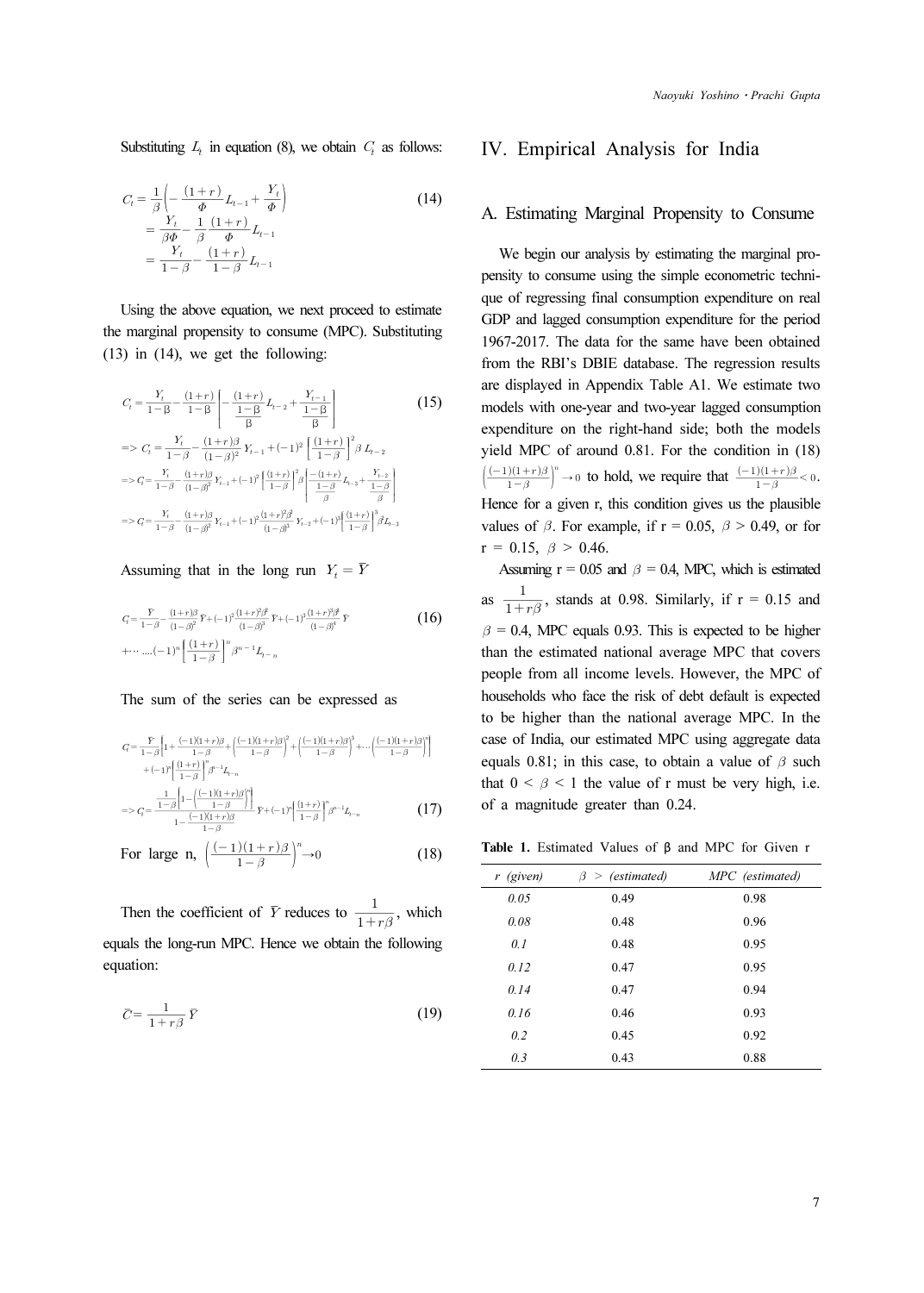Substituting  $L_t$  in equation (8), we obtain  $C_t$  as follows:

Substituting 
$$
L_t
$$
 in equation (8), we obtain  $C_t$  as follows:  
\n
$$
C_t = \frac{1}{\beta} \left( -\frac{(1+r)}{\Phi} L_{t-1} + \frac{Y_t}{\Phi} \right) \qquad (14)
$$
\n
$$
= \frac{Y_t}{\beta \Phi} - \frac{1}{\beta} \frac{(1+r)}{\Phi} L_{t-1}
$$
\n
$$
= \frac{Y_t}{1-\beta} - \frac{(1+r)}{1-\beta} L_{t-1}
$$
\nUsing the above equation, we next proceed to estimate marginal propensity to consume (MPC). Substituting  
\n(i) in (14), we get the following:  
\n
$$
C_t = \frac{Y_t}{1-\beta} - \frac{(1+r)}{1-\beta} \left[ -\frac{(1+r)}{\frac{1-\beta}{\beta}} L_{t-2} + \frac{Y_{t-1}}{\frac{1-\beta}{\beta}} \right] \qquad (15)
$$
\n
$$
= > C_t = \frac{Y_t}{1-\beta} - \frac{(1+r)\beta}{(1-\beta)^2} Y_{t-1} + (-1)^2 \left[ \frac{(1+r)}{1-\beta} \right]^2 \beta L_{t-2}
$$

Using the above equation, we next proceed to estimate the marginal propensity to consume (MPC). Substituting (13) in (14), we get the following:

Substituting 
$$
L_t
$$
 in equation (8), we obtain  $C_t$  as follows:  
\n
$$
C_t = \frac{1}{\beta} \left( -\frac{(1+r)}{\phi} L_{t-1} + \frac{Y_t}{\phi} \right) \qquad (14)
$$
\n
$$
= \frac{Y_t}{\beta \phi} - \frac{1}{\beta} \frac{(1+r)}{\phi} L_{t-1}
$$
\n
$$
= \frac{Y_t}{1-\beta} - \frac{(1+r)}{1-\beta} L_{t-1}
$$
\nUsing the above equation, we next proceed to estimate  
\nmarginal propensity to consume (MPC). Substituting)  
\n**b)** in (14), we get the following:  
\n
$$
C_t = \frac{Y_t}{1-\beta} - \frac{(1+r)}{1-\beta} \left[ -\frac{(1+r)}{1-\beta} L_{t-2} + \frac{Y_{t-1}}{1-\beta} \right] \qquad (15)
$$
\n
$$
= > C_t = \frac{Y_t}{1-\beta} - \frac{(1+r)}{1-\beta} \left[ -\frac{(1+r)}{1-\beta} L_{t-2} + \frac{Y_{t-1}}{1-\beta} \right] \qquad (15)
$$
\n
$$
= > C_t = \frac{Y_t}{1-\beta} - \frac{(1+r)\beta}{(1-\beta)^2} Y_{t-1} + (-1)^2 \left[ \frac{(1+r)}{1-\beta} \right]^2 \beta L_{t-2}
$$
\n
$$
= > C_t = \frac{Y_t}{1-\beta} - \frac{(1+r)\beta}{(1-\beta)^2} Y_{t-1} + (-1)^2 \left[ \frac{(1+r)}{1-\beta} \right]^2 \left[ -\frac{(1+r)}{1-\beta} L_{t-3} + \frac{Y_{t-2}}{1-\beta} \right]
$$
\n
$$
= > C_t = \frac{Y_t}{1-\beta} - \frac{(1+r)\beta}{(1-\beta)^2} Y_{t-1} + (-1)^2 \frac{(1+r)^2 \beta}{(1-\beta)^3} Y_{t-2} + (-1)^3 \left[ \frac{(1+r)}{1-\beta} \right]^3 \beta L_{t-3}
$$
\nAssuming that in the long run  $Y_t = \overline{Y}$   
\n
$$
C_t = \frac{Y_t}{1-\beta} - \frac{(1+r)\beta}{(1-\beta)^2} Y_{t-1} - (1)^3 \left[ \frac{(1+r)^2 \beta}{(1-\beta)^3} Y_{t
$$

## Assuming that in the long run  $Y_t = \overline{Y}$

$$
q = \frac{\bar{Y}}{1-\beta} - \frac{(1+r)\beta}{(1-\beta)^2} \bar{Y} + (-1)^2 \frac{(1+r)^2 \beta}{(1-\beta)^3} \bar{Y} + (-1)^3 \frac{(1+r)^3 \beta^3}{(1-\beta)^4} \bar{Y}
$$
\n
$$
+ \cdots \cdots (-1)^n \left[ \frac{(1+r)}{1-\beta} \right]^n \beta^{n-1} L_{t-n}
$$
\nThe sum of the series can be expressed as\n
$$
\bar{Y} = (-1)(1+r)\beta - (-1)(1+r)\beta^2 - (-1)(1+r)\beta^3 - (-1)(1+r)\beta^3]
$$

#### The sum of the series can be expressed as

The sum of the series can be expressed as  
\n
$$
G = \frac{Y}{1-\beta} \Biggl[ 1 + \frac{(-1)(1+r)\beta}{1-\beta} + \left( \frac{(-1)(1+r)\beta}{1-\beta} \right)^2 + \left( \frac{(-1)(1+r)\beta}{1-\beta} \right)^3 + \cdots + \left( \frac{(-1)(1+r)\beta}{1-\beta} \right)^n \Biggr]
$$
\n
$$
+ (-1)^n \Biggl[ \frac{(1+r)}{1-\beta} \Biggr]^n \mathcal{J}^{-1} L_{n-n}
$$
\n
$$
= > G = \frac{1}{1-\beta} \Biggl[ 1 - \left( \frac{(-1)(1+r)\beta}{1-\beta} \right)^n \Biggr] \mathcal{J}^{-1} (-1)^n \Biggl[ \frac{(1+r)}{1-\beta} \Biggr]^n \mathcal{J}^{-1} L_{n-n}
$$
\n(17)

$$
S = 2q = \frac{1 - \beta 1}{1 - \frac{(-1)(1 + r)\beta}{1 - \beta}} F + (-1)^{r} \left[ \frac{(1 + r)}{1 - \beta} \right] \beta^{r-1} L_{r-n}
$$
(17)

For large n, 
$$
\left(\frac{(-1)(1+r)\beta}{1-\beta}\right)^n \to 0
$$
 (18)

Then the coefficient of  $\overline{Y}$  reduces to  $\frac{1}{1+r\beta}$ , which equals the long-run MPC. Hence we obtain the following equation:

$$
\overline{C} = \frac{1}{1 + r\beta} \overline{Y} \tag{19}
$$

#### IV. Empirical Analysis for India

#### A. Estimating Marginal Propensity to Consume

We begin our analysis by estimating the marginal propensity to consume using the simple econometric technique of regressing final consumption expenditure on real GDP and lagged consumption expenditure for the period 1967-2017. The data for the same have been obtained from the RBI's DBIE database. The regression results are displayed in Appendix Table A1. We estimate two models with one-year and two-year lagged consumption expenditure on the right-hand side; both the models yield MPC of around 0.81. For the condition in (18) IV. Emptyre<br>A. Estima<br>we beging to complement to the display<br>if the R are display<br>models with expenditure<br>yield MPC<br> $\left(\frac{(-1)(1+r)\beta}{1-\beta}\right)$  $\frac{(-1)(1+r)\beta}{1-\beta}$   $\rightarrow$  0 to hold, we require that  $\frac{(-1)(1+r)\beta}{1-\beta}$  < 0. *Naoyuki Yoshino • Prachi G*<br>
rical Analysis for India<br>
mg Marginal Propensity to Consur<br>
our analysis by estimating the marginal<br>
nsume using the simple econometric tec<br>
sing final consumption expenditure on<br>
ged consump Hence for a given r, this condition gives us the plausible values of  $\beta$ . For example, if  $r = 0.05$ ,  $\beta > 0.49$ , or for  $r = 0.15, \ \beta > 0.46.$ IV. Em<br>A. Estim<br>We beg<br>pensity to<br>que of reg<br>GDP and<br>1967-2017<br>from the 1<br>are display<br>models wi<br>expenditu<br>yield MP<br>( $\frac{(-1)(1+r)}{1-\beta}$ <br>Hence for<br>values of<br>r = 0.15,<br>Assumir<br>as<br> $\frac{1}{1+r\beta}$ 

Assuming  $r = 0.05$  and  $\beta = 0.4$ , MPC, which is estimated as  $\frac{1}{1+r\beta}$ , stands at 0.98. Similarly, if r = 0.15 and  $\beta$  = 0.4, MPC equals 0.93. This is expected to be higher than the estimated national average MPC that covers people from all income levels. However, the MPC of households who face the risk of debt default is expected to be higher than the national average MPC. In the case of India, our estimated MPC using aggregate data equals 0.81; in this case, to obtain a value of  $\beta$  such that  $0 \le \beta \le 1$  the value of r must be very high, i.e. of a magnitude greater than 0.24.

Table 1. Estimated Values of β and MPC for Given r

| $r$ (given) | (estimated)<br>$\beta >$ | MPC (estimated) |
|-------------|--------------------------|-----------------|
| 0.05        | 0.49                     | 0.98            |
| 0.08        | 0.48                     | 0.96            |
| 0.1         | 0.48                     | 0.95            |
| 0.12        | 0.47                     | 0.95            |
| 0.14        | 0.47                     | 0.94            |
| 0.16        | 0.46                     | 0.93            |
| 0.2         | 0.45                     | 0.92            |
| 0.3         | 0.43                     | 0.88            |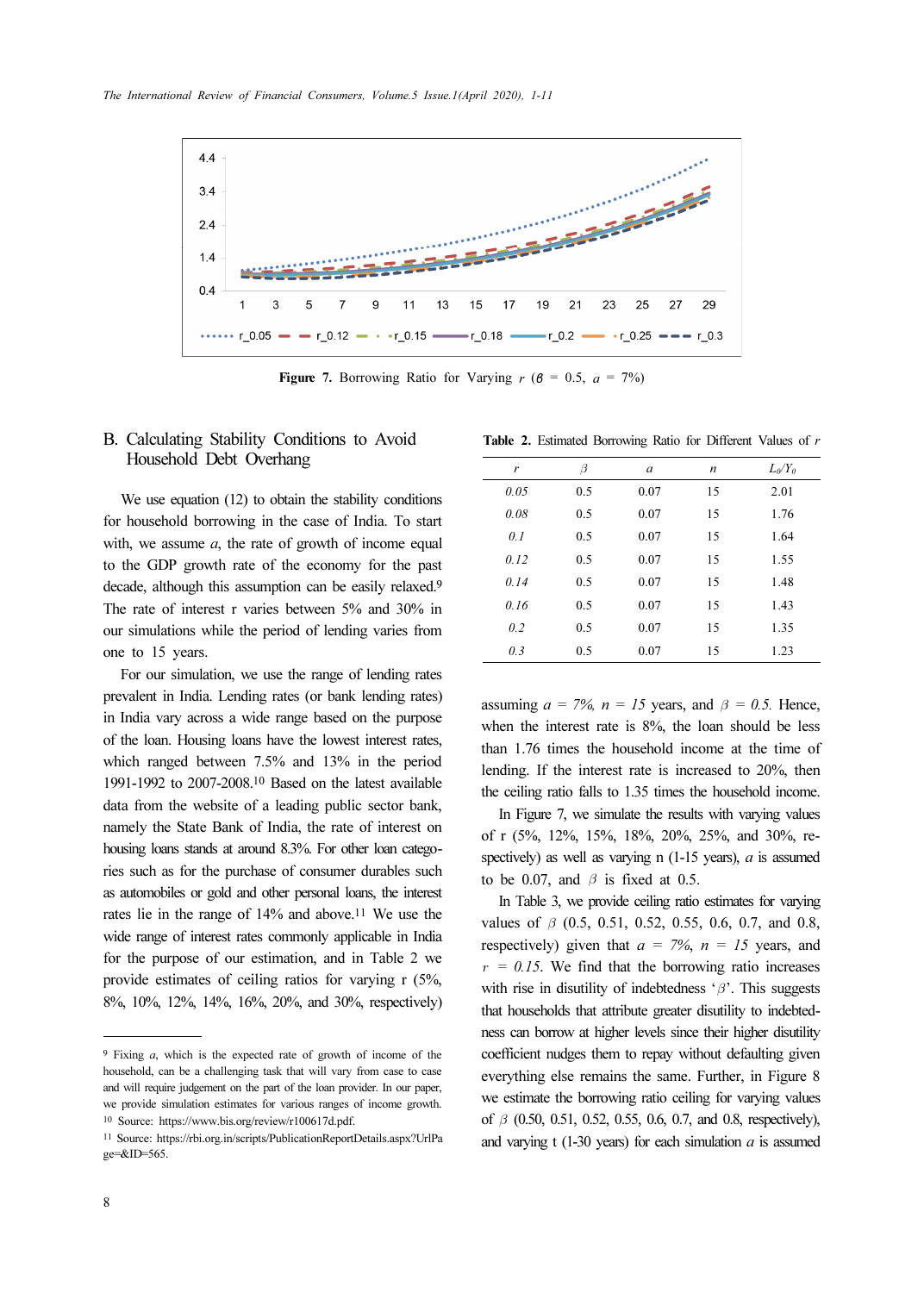

Figure 7. Borrowing Ratio for Varying  $r$  ( $\beta$  = 0.5,  $a$  = 7%)

## B. Calculating Stability Conditions to Avoid Table 2. Estimated Borrowing Ratio For Present Conditions of  $\mathbb{R}$ Household Debt Overhang

We use equation (12) to obtain the stability conditions for household borrowing in the case of India. To start with, we assume  $a$ , the rate of growth of income equal to the GDP growth rate of the economy for the past decade, although this assumption can be easily relaxed.<sup>9</sup> The rate of interest r varies between 5% and 30% in our simulations while the period of lending varies from one to 15 years.

For our simulation, we use the range of lending rates prevalent in India. Lending rates (or bank lending rates) in India vary across a wide range based on the purpose of the loan. Housing loans have the lowest interest rates, which ranged between 7.5% and 13% in the period 1991-1992 to 2007-2008.10 Based on the latest available data from the website of a leading public sector bank, namely the State Bank of India, the rate of interest on housing loans stands at around 8.3%. For other loan categories such as for the purchase of consumer durables such as automobiles or gold and other personal loans, the interest rates lie in the range of 14% and above.11 We use the wide range of interest rates commonly applicable in India for the purpose of our estimation, and in Table 2 we provide estimates of ceiling ratios for varying r (5%, 8%, 10%, 12%, 14%, 16%, 20%, and 30%, respectively)

|  | Table 2. Estimated Borrowing Ratio for Different Values of |  |  |  |
|--|------------------------------------------------------------|--|--|--|
|  |                                                            |  |  |  |

| r    | β   | a    | $\boldsymbol{n}$ | $L_0/Y_0$ |
|------|-----|------|------------------|-----------|
| 0.05 | 0.5 | 0.07 | 15               | 2.01      |
| 0.08 | 0.5 | 0.07 | 15               | 1.76      |
| 0.1  | 0.5 | 0.07 | 15               | 1.64      |
| 0.12 | 0.5 | 0.07 | 15               | 1.55      |
| 0.14 | 0.5 | 0.07 | 15               | 1.48      |
| 0.16 | 0.5 | 0.07 | 15               | 1.43      |
| 0.2  | 0.5 | 0.07 | 15               | 1.35      |
| 0.3  | 0.5 | 0.07 | 15               | 1.23      |

assuming  $a = 7\%$ ,  $n = 15$  years, and  $\beta = 0.5$ . Hence, when the interest rate is 8%, the loan should be less than 1.76 times the household income at the time of lending. If the interest rate is increased to 20%, then the ceiling ratio falls to 1.35 times the household income.

In Figure 7, we simulate the results with varying values of r (5%, 12%, 15%, 18%, 20%, 25%, and 30%, respectively) as well as varying n  $(1-15 \text{ years})$ , a is assumed to be 0.07, and  $\beta$  is fixed at 0.5.

In Table 3, we provide ceiling ratio estimates for varying values of  $\beta$  (0.5, 0.51, 0.52, 0.55, 0.6, 0.7, and 0.8, respectively) given that  $a = 7\%$ ,  $n = 15$  years, and  $r = 0.15$ . We find that the borrowing ratio increases with rise in disutility of indebtedness ' $\beta$ '. This suggests that households that attribute greater disutility to indebtedness can borrow at higher levels since their higher disutility coefficient nudges them to repay without defaulting given everything else remains the same. Further, in Figure 8 we estimate the borrowing ratio ceiling for varying values of  $\beta$  (0.50, 0.51, 0.52, 0.55, 0.6, 0.7, and 0.8, respectively), and varying t (1-30 years) for each simulation  $a$  is assumed

<sup>9</sup> Fixing a, which is the expected rate of growth of income of the household, can be a challenging task that will vary from case to case and will require judgement on the part of the loan provider. In our paper, we provide simulation estimates for various ranges of income growth. <sup>10</sup> Source: https://www.bis.org/review/r100617d.pdf.

<sup>11</sup> Source: https://rbi.org.in/scripts/PublicationReportDetails.aspx?UrlPa ge=&ID=565.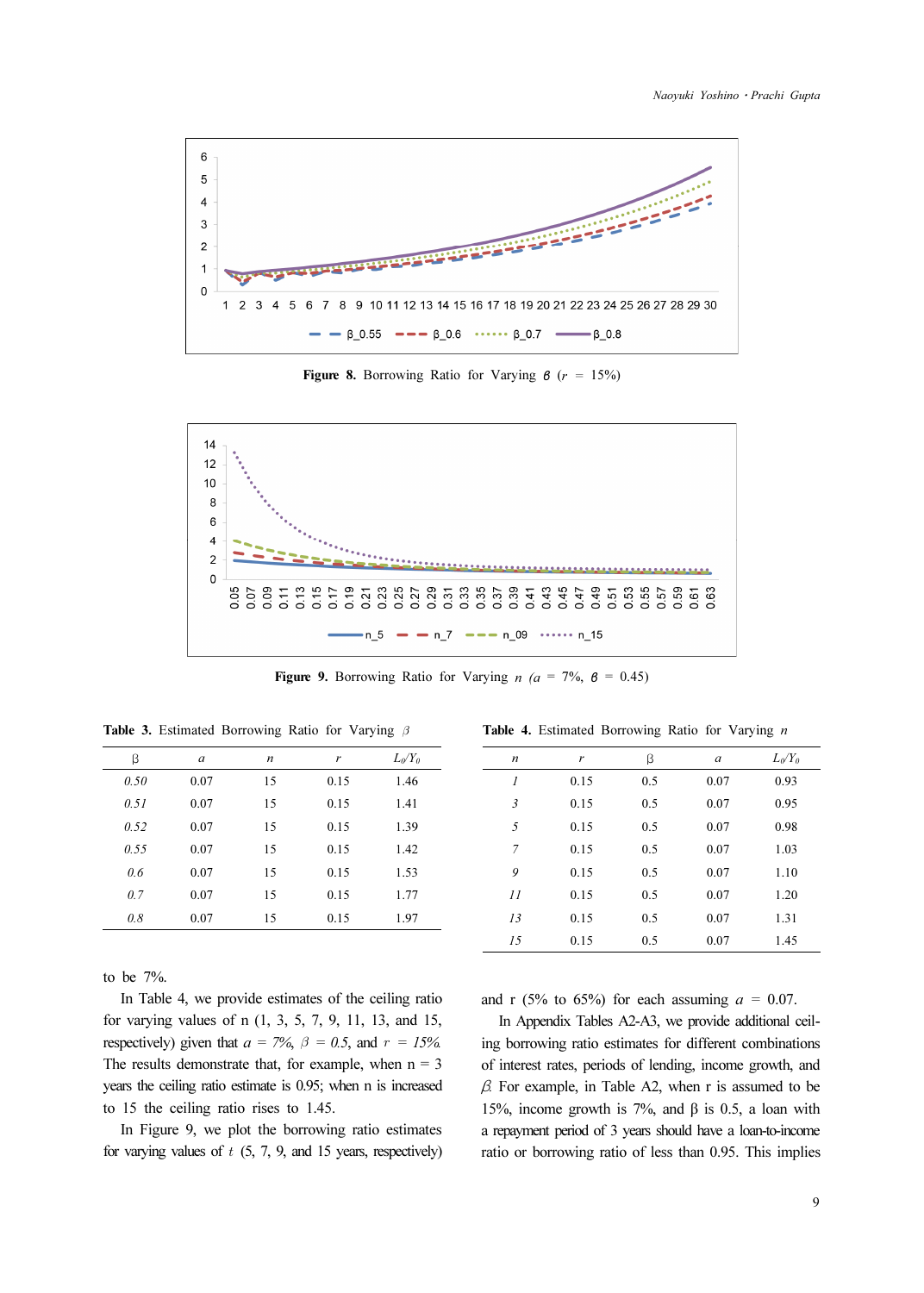

Figure 8. Borrowing Ratio for Varying  $\beta$  ( $r = 15\%$ )



Figure 9. Borrowing Ratio for Varying  $n$  ( $a = 7\%$ ,  $\beta = 0.45$ )

| β    | a    | n  | r    | $L_0/Y_0$ |
|------|------|----|------|-----------|
| 0.50 | 0.07 | 15 | 0.15 | 1.46      |
| 0.51 | 0.07 | 15 | 0.15 | 1.41      |
| 0.52 | 0.07 | 15 | 0.15 | 1.39      |
| 0.55 | 0.07 | 15 | 0.15 | 1.42      |
| 0.6  | 0.07 | 15 | 0.15 | 1.53      |
| 0.7  | 0.07 | 15 | 0.15 | 1.77      |
| 0.8  | 0.07 | 15 | 0.15 | 1.97      |
|      |      |    |      |           |

|  |  | <b>Table 3.</b> Estimated Borrowing Ratio for Varying $\beta$ |  |  |  |  |
|--|--|---------------------------------------------------------------|--|--|--|--|
|--|--|---------------------------------------------------------------|--|--|--|--|

to be 7%.

In Table 4, we provide estimates of the ceiling ratio for varying values of n (1, 3, 5, 7, 9, 11, 13, and 15, respectively) given that  $a = 7\%$ ,  $\beta = 0.5$ , and  $r = 15\%$ . The results demonstrate that, for example, when  $n = 3$ years the ceiling ratio estimate is 0.95; when n is increased to 15 the ceiling ratio rises to 1.45.

In Figure 9, we plot the borrowing ratio estimates for varying values of  $t$  (5, 7, 9, and 15 years, respectively)

|  |  |  | Table 4. Estimated Borrowing Ratio for Varying n |  |  |  |  |
|--|--|--|--------------------------------------------------|--|--|--|--|
|--|--|--|--------------------------------------------------|--|--|--|--|

|                             |      | $\check{~}$ |               | ີ         |
|-----------------------------|------|-------------|---------------|-----------|
| $\boldsymbol{n}$            | r    | β           | $\mathfrak a$ | $L_0/Y_0$ |
| $\mathcal{I}_{\mathcal{I}}$ | 0.15 | 0.5         | 0.07          | 0.93      |
| $\mathfrak{Z}$              | 0.15 | 0.5         | 0.07          | 0.95      |
| 5                           | 0.15 | 0.5         | 0.07          | 0.98      |
| 7                           | 0.15 | 0.5         | 0.07          | 1.03      |
| 9                           | 0.15 | 0.5         | 0.07          | 1.10      |
| 11                          | 0.15 | 0.5         | 0.07          | 1.20      |
| 13                          | 0.15 | 0.5         | 0.07          | 1.31      |
| 15                          | 0.15 | 0.5         | 0.07          | 1.45      |

and r (5% to 65%) for each assuming  $a = 0.07$ .

In Appendix Tables A2-A3, we provide additional ceiling borrowing ratio estimates for different combinations of interest rates, periods of lending, income growth, and  $\beta$ . For example, in Table A2, when r is assumed to be 15%, income growth is 7%, and β is 0.5, a loan with a repayment period of 3 years should have a loan-to-income ratio or borrowing ratio of less than 0.95. This implies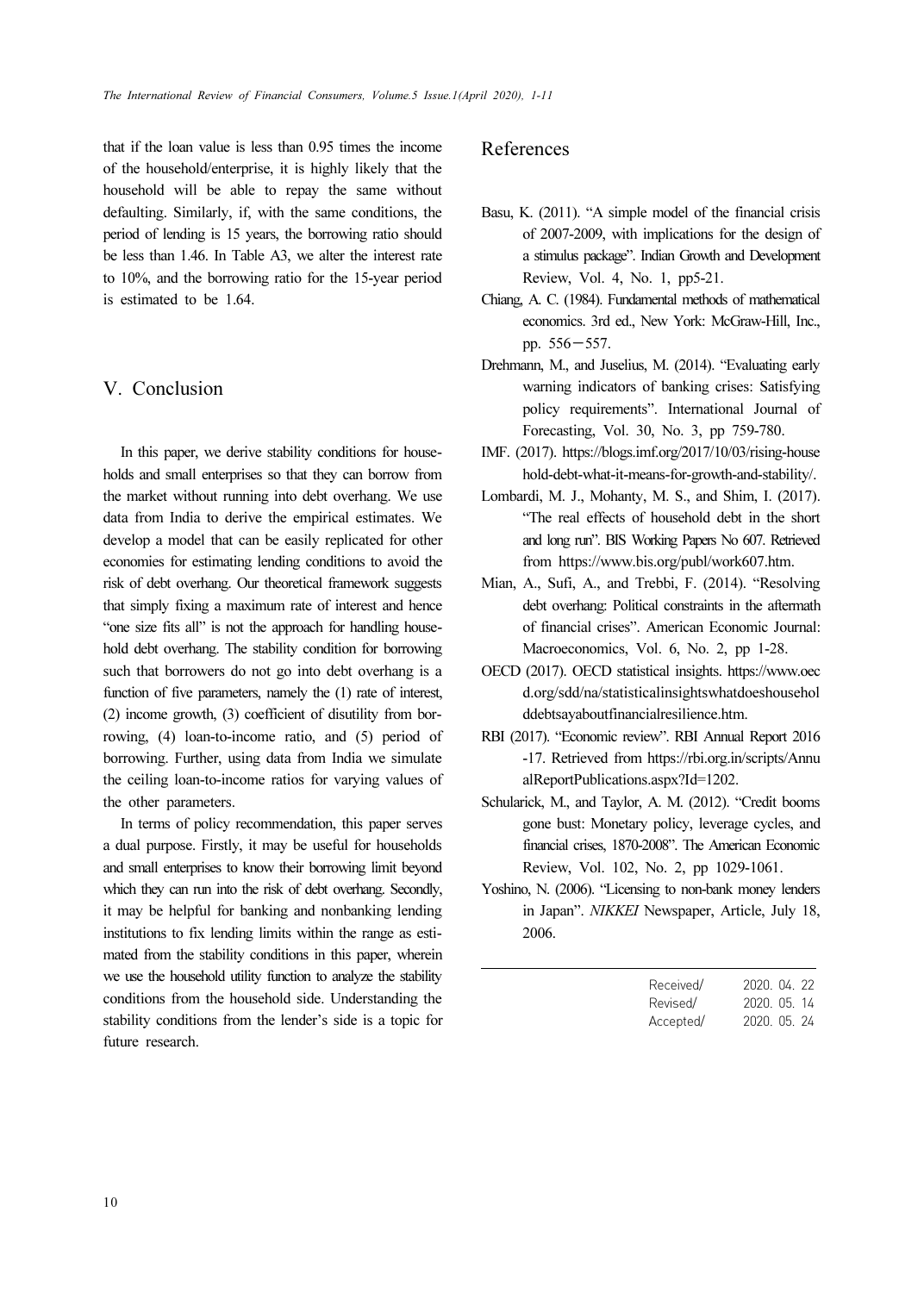that if the loan value is less than 0.95 times the income of the household/enterprise, it is highly likely that the household will be able to repay the same without defaulting. Similarly, if, with the same conditions, the period of lending is 15 years, the borrowing ratio should be less than 1.46. In Table A3, we alter the interest rate to 10%, and the borrowing ratio for the 15-year period is estimated to be 1.64.

# V. Conclusion

In this paper, we derive stability conditions for households and small enterprises so that they can borrow from the market without running into debt overhang. We use data from India to derive the empirical estimates. We develop a model that can be easily replicated for other economies for estimating lending conditions to avoid the risk of debt overhang. Our theoretical framework suggests that simply fixing a maximum rate of interest and hence "one size fits all" is not the approach for handling household debt overhang. The stability condition for borrowing such that borrowers do not go into debt overhang is a function of five parameters, namely the (1) rate of interest, (2) income growth, (3) coefficient of disutility from borrowing, (4) loan-to-income ratio, and (5) period of borrowing. Further, using data from India we simulate the ceiling loan-to-income ratios for varying values of the other parameters.

In terms of policy recommendation, this paper serves a dual purpose. Firstly, it may be useful for households and small enterprises to know their borrowing limit beyond which they can run into the risk of debt overhang. Secondly, it may be helpful for banking and nonbanking lending institutions to fix lending limits within the range as estimated from the stability conditions in this paper, wherein we use the household utility function to analyze the stability conditions from the household side. Understanding the stability conditions from the lender's side is a topic for future research.

## References

- Basu, K. (2011). "A simple model of the financial crisis of 2007-2009, with implications for the design of a stimulus package". Indian Growth and Development Review, Vol. 4, No. 1, pp5-21.
- Chiang, A. C. (1984). Fundamental methods of mathematical economics. 3rd ed., New York: McGraw-Hill, Inc., Proview, Vol.<br>
A. C. (1984). I<br>
economics. 3rd<br>
pp. 556−557.
- Drehmann, M., and Juselius, M. (2014). "Evaluating early warning indicators of banking crises: Satisfying policy requirements". International Journal of Forecasting, Vol. 30, No. 3, pp 759-780.
- IMF. (2017). https://blogs.imf.org/2017/10/03/rising-house hold-debt-what-it-means-for-growth-and-stability/.
- Lombardi, M. J., Mohanty, M. S., and Shim, I. (2017). "The real effects of household debt in the short and long run". BIS Working Papers No 607. Retrieved from https://www.bis.org/publ/work607.htm.
- Mian, A., Sufi, A., and Trebbi, F. (2014). "Resolving debt overhang: Political constraints in the aftermath of financial crises". American Economic Journal: Macroeconomics, Vol. 6, No. 2, pp 1-28.
- OECD (2017). OECD statistical insights. https://www.oec d.org/sdd/na/statisticalinsightswhatdoeshousehol ddebtsayaboutfinancialresilience.htm.
- RBI (2017). "Economic review". RBI Annual Report 2016 -17. Retrieved from https://rbi.org.in/scripts/Annu alReportPublications.aspx?Id=1202.
- Schularick, M., and Taylor, A. M. (2012). "Credit booms gone bust: Monetary policy, leverage cycles, and financial crises, 1870-2008". The American Economic Review, Vol. 102, No. 2, pp 1029-1061.
- Yoshino, N. (2006). "Licensing to non-bank money lenders in Japan". NIKKEI Newspaper, Article, July 18, 2006.

| Received/ | 2020, 04, 22 |
|-----------|--------------|
| Revised/  | 2020, 05, 14 |
| Accepted/ | 2020. 05. 24 |